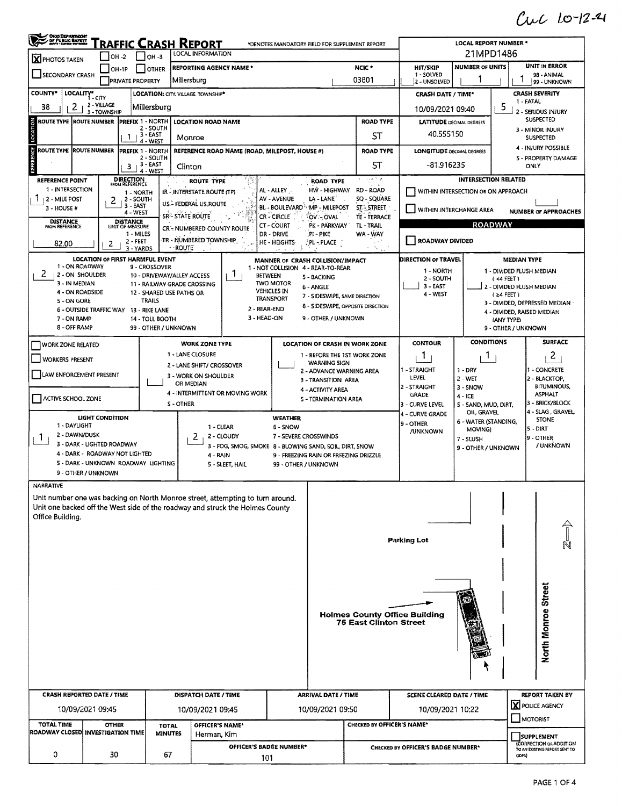## Cuc 10-12-4

| OHIO DEPARTMENT<br>DF PUBLIC BAFRIT<br><u>'Raffic Crash Report</u><br>*DENOTES MANDATORY FIELD FOR SUPPLEMENT REPORT<br><b>LOCAL INFORMATION</b>                |                                        |                                    |                                        |                      |                                                                                                |                                               | LOCAL REPORT NUMBER *<br>21MPD1486                        |                                                          |                               |                                           |                                               |                                     |                                        |                                                    |  |  |
|-----------------------------------------------------------------------------------------------------------------------------------------------------------------|----------------------------------------|------------------------------------|----------------------------------------|----------------------|------------------------------------------------------------------------------------------------|-----------------------------------------------|-----------------------------------------------------------|----------------------------------------------------------|-------------------------------|-------------------------------------------|-----------------------------------------------|-------------------------------------|----------------------------------------|----------------------------------------------------|--|--|
| $IOH -2$<br>$1$ lo <sub>H</sub> -3<br><b>X</b> PHOTOS TAKEN<br>NCIC *<br><b>REPORTING AGENCY NAME *</b><br>$OH-1P$<br>OTHER                                     |                                        |                                    |                                        |                      |                                                                                                |                                               |                                                           |                                                          |                               | <b>NUMBER OF UNITS</b><br><b>HIT/SKIP</b> |                                               |                                     | <b>UNIT IN ERROR</b>                   |                                                    |  |  |
| SECONDARY CRASH                                                                                                                                                 |                                        |                                    | Millersburg<br><b>PRIVATE PROPERTY</b> |                      |                                                                                                |                                               |                                                           |                                                          | 03801                         |                                           | 1 - SOLVED<br>2 - UNSOLVED                    |                                     |                                        | 98 - ANIMAL<br>99 - UNKNOWN                        |  |  |
| COUNTY*                                                                                                                                                         | LOCALITY* CITY                         |                                    |                                        |                      | LOCATION: CITY, VILLAGE, TOWNSHIP*                                                             |                                               |                                                           |                                                          |                               |                                           | <b>CRASH DATE / TIME*</b>                     |                                     |                                        | <b>CRASH SEVERITY</b>                              |  |  |
| 2 - VILLAGE<br>2<br>38<br>Millersburg <br>3 - TOWNSHIP                                                                                                          |                                        |                                    |                                        |                      |                                                                                                |                                               |                                                           |                                                          |                               | 10/09/2021 09:40                          |                                               | 5                                   | 1 - FATAL<br>- SERIOUS INJURY          |                                                    |  |  |
| <b>ROUTE TYPE ROUTE NUMBER</b><br>PREFIX 1 - NORTH<br><b>LOCATION ROAD NAME</b><br>2 - SOUTH                                                                    |                                        |                                    |                                        |                      |                                                                                                |                                               |                                                           | <b>ROAD TYPE</b>                                         |                               |                                           | <b>LATITUDE</b> DECIMAL DEGREES               |                                     | <b>SUSPECTED</b><br>3 - MINOR INJURY   |                                                    |  |  |
| LOCATION<br>3 - EAST<br>Monroe<br>4 - WEST                                                                                                                      |                                        |                                    |                                        |                      |                                                                                                |                                               |                                                           | 40.555150<br>ST                                          |                               |                                           |                                               | <b>SUSPECTED</b>                    |                                        |                                                    |  |  |
| ROUTE TYPE  ROUTE NUMBER                                                                                                                                        |                                        |                                    | PREFIX 1 - NORTH<br>2 - SOUTH          |                      |                                                                                                | REFERENCE ROAD NAME (ROAD, MILEPOST, HOUSE #) |                                                           |                                                          |                               | <b>ROAD TYPE</b>                          | <b>LONGITUDE DECIMAL DEGREES</b>              |                                     |                                        | 4 - INJURY POSSIBLE<br>5 - PROPERTY DAMAGE         |  |  |
| <b>REFERENCE</b>                                                                                                                                                |                                        |                                    | $3 + 3 - EAST$<br>4 - WEST             |                      | Clinton                                                                                        |                                               |                                                           |                                                          |                               | ST                                        | -81.916235                                    | ONLY                                |                                        |                                                    |  |  |
| REFERENCE POINT                                                                                                                                                 |                                        | <b>DIRECTION</b><br>FROM REFERENCE |                                        |                      | <b>ROUTE TYPE</b>                                                                              |                                               |                                                           | ROAD TYPE                                                |                               | يوافين                                    |                                               | <b>INTERSECTION RELATED</b>         |                                        |                                                    |  |  |
| 1 - INTERSECTION<br><b>12 - MILE POST</b>                                                                                                                       | 2                                      |                                    | 1 - NORTH<br>2 - SOUTH                 |                      | IR - INTERSTATE ROUTE (TP)                                                                     |                                               | AL-ALLEY<br>AV - AVENUE                                   | HW - HIGHWAY<br>LA - LANE                                | RD - ROAD                     | SQ - SQUARE                               |                                               | WITHIN INTERSECTION OR ON APPROACH  |                                        |                                                    |  |  |
| 3 - HOUSE #                                                                                                                                                     |                                        | $3 - EAST$<br>4 - WEST             |                                        |                      | US - FEDERAL US ROUTE<br>SR-STATE ROUTE                                                        |                                               | BL - BOULEVARD <sup>5, 2</sup> MP - MILEPOST<br>CR-CIRCLE | OV - OVAL                                                | <b>ST. STREET</b>             | <b>TE - TERRACE</b>                       | WITHIN INTERCHANGE AREA                       |                                     |                                        | <b>NUMBER OF APPROACHES</b>                        |  |  |
| <b>DISTANCE</b><br>FROM REFERENCE                                                                                                                               |                                        | <b>DISTANCE</b><br>UNIT OF MEASURE |                                        |                      | CR'- NUMBERED COUNTY ROUTE                                                                     |                                               | CT-COURT                                                  | PK - PARKWAY                                             | TL - TRAIL                    |                                           |                                               |                                     | <b>ROADWAY</b>                         |                                                    |  |  |
| 82.00                                                                                                                                                           | 2                                      |                                    | 1 - MILES<br>$2 - FEET$                |                      | TR - NUMBERED TOWNSHIP                                                                         |                                               | DR - DRIVE<br>HE - HEIGHTS                                | PI - PIKE<br>PL - PLACE                                  | WA - WAY                      |                                           | <b>ROADWAY DIVIDED</b>                        |                                     |                                        |                                                    |  |  |
|                                                                                                                                                                 | <b>LOCATION OF FIRST HARMFUL EVENT</b> |                                    | 3 YARDS                                |                      | <b>ROUTE</b>                                                                                   |                                               | MANNER OF CRASH COLLISION/IMPACT                          |                                                          |                               | - 5                                       | DIRECTION OF TRAVEL                           |                                     |                                        | <b>MEDIAN TYPE</b>                                 |  |  |
| 1 - ON ROADWAY<br>2<br>12 - ON SHOULDER                                                                                                                         |                                        |                                    | 9 - CROSSOVER                          |                      | 10 - DRIVEWAY/ALLEY ACCESS                                                                     | 1.                                            | 1 - NOT COLLISION 4 - REAR-TO-REAR<br><b>BETWEEN</b>      |                                                          |                               |                                           | 1 - NORTH                                     |                                     |                                        | 1 - DIVIDED FLUSH MEDIAN                           |  |  |
| 3 - IN MEDIAN                                                                                                                                                   |                                        |                                    |                                        |                      | 11 - RAILWAY GRADE CROSSING                                                                    |                                               | <b>TWO MOTOR</b>                                          | 5 - BACKING<br>$6 - ANGLE$                               |                               |                                           | 2 - SOUTH<br>$3 - EAST$                       |                                     | $(4$ FEET)<br>2 - DIVIDED FLUSH MEDIAN |                                                    |  |  |
| 4 - ON ROADSIDE<br>5 - ON GORE                                                                                                                                  |                                        |                                    | <b>TRAILS</b>                          |                      | 12 - SHARED USE PATHS OR                                                                       |                                               | <b>VEHICLES IN</b><br><b>TRANSPORT</b>                    | 7 - SIDESWIPE, SAME DIRECTION                            |                               |                                           | 4 - WEST                                      |                                     |                                        | $(24$ FEET)<br>3 - DIVIDED, DEPRESSED MEDIAN ·     |  |  |
| 7 - ON RAMP                                                                                                                                                     | <b>6 - OUTSIDE TRAFFIC WAY</b>         |                                    | 13 - BIKE LANE<br>14 - TOLL BOOTH      |                      |                                                                                                | 2 - REAR-END<br>3 - HEAD-ON                   |                                                           | 8 - SIDESWIPE, OPPOSITE DIRECTION<br>9 - OTHER / UNKNOWN |                               |                                           |                                               |                                     | 4 - DIVIDED, RAISED MEDIAN             |                                                    |  |  |
| 8 - OFF RAMP                                                                                                                                                    |                                        |                                    | 99 - OTHER / UNKNOWN                   |                      |                                                                                                |                                               |                                                           |                                                          |                               |                                           |                                               |                                     | (ANY TYPE)<br>9 - OTHER / UNKNOWN      |                                                    |  |  |
| <b>WORK ZONE RELATED</b>                                                                                                                                        |                                        |                                    |                                        |                      | <b>WORK ZONE TYPE</b>                                                                          |                                               |                                                           | LOCATION OF CRASH IN WORK ZONE                           |                               |                                           | <b>CONTOUR</b>                                | <b>CONDITIONS</b>                   |                                        | <b>SURFACE</b>                                     |  |  |
| <b>WORKERS PRESENT</b>                                                                                                                                          |                                        |                                    |                                        |                      | 1 - LANE CLOSURE                                                                               |                                               |                                                           | 1 - BEFORE THE 1ST WORK ZONE<br><b>WARNING SIGN</b>      |                               |                                           | 1                                             | T.                                  |                                        | $\overline{2}$                                     |  |  |
| LAW ENFORCEMENT PRESENT                                                                                                                                         |                                        |                                    |                                        |                      | 2 - LANE SHIFT/ CROSSOVER<br>3 - WORK ON SHOULDER                                              |                                               |                                                           | 2 - ADVANCE WARNING AREA                                 |                               |                                           | 1 - STRAIGHT<br>LEVEL                         | $1 - DRY$<br>$2 - WET$              |                                        | - CONCRETE<br>2 - BLACKTOP,                        |  |  |
|                                                                                                                                                                 |                                        |                                    |                                        |                      | OR MEDIAN                                                                                      | 4 - INTERMITTENT OR MOVING WORK               |                                                           | 3 - TRANSITION AREA<br>4 - ACTIVITY AREA                 |                               |                                           | 2 - STRAIGHT<br>3 - SNOW                      |                                     | <b>BITUMINOUS,</b>                     |                                                    |  |  |
| ACTIVE SCHOOL ZONE                                                                                                                                              |                                        |                                    |                                        |                      | S-OTHER                                                                                        |                                               |                                                           | 5 - TERMINATION AREA                                     |                               |                                           | <b>GRADE</b><br>3 - CURVE LEVEL               | $4 - ICE$<br>5 - SAND, MUD, DIRT,   | <b>ASPHALT</b><br>3 - BRICK/BLOCK      |                                                    |  |  |
|                                                                                                                                                                 | <b>LIGHT CONDITION</b>                 |                                    |                                        |                      |                                                                                                |                                               | <b>WEATHER</b>                                            |                                                          |                               |                                           | 4 - CURVE GRADE                               | OIL, GRAVEL<br>6 - WATER (STANDING, | 4 - SLAG, GRAVEL<br><b>STONE</b>       |                                                    |  |  |
| 1 - DAYLIGHT<br>2 - DAWN/DUSK                                                                                                                                   |                                        |                                    |                                        |                      | 1 - CLEAR                                                                                      | 2 - CLOUDY                                    | 6 - SNOW                                                  | 7 - SEVERE CROSSWINDS                                    |                               |                                           | 9 - OTHER<br>/UNKNOWN                         | MOVING)                             |                                        | 5 - DIRT                                           |  |  |
| Τ.                                                                                                                                                              | 3 - DARK - LIGHTED ROADWAY             |                                    |                                        |                      | 2                                                                                              |                                               |                                                           | 3 - FOG, SMOG, SMOKE 8 - BLOWING SAND, SOIL, DIRT, SNOW  |                               |                                           |                                               | 7 - SLUSH<br>9 - OTHER / UNKNOWN    |                                        | 9 - OTHER<br>/ UNKNOWN                             |  |  |
| 4 - DARK - ROADWAY NOT LIGHTED<br>5 - DARK - UNKNOWN ROADWAY LIGHTING                                                                                           |                                        |                                    |                                        |                      | $4 - RA/N$<br>9 - FREEZING RAIN OR FREEZING DRIZZLE<br>5 - SLEET, HAIL<br>99 - OTHER / UNKNOWN |                                               |                                                           |                                                          |                               |                                           |                                               |                                     |                                        |                                                    |  |  |
|                                                                                                                                                                 | 9 - OTHER / UNKNOWN                    |                                    |                                        |                      |                                                                                                |                                               |                                                           |                                                          |                               |                                           |                                               |                                     |                                        |                                                    |  |  |
| NARRATIVE                                                                                                                                                       |                                        |                                    |                                        |                      |                                                                                                |                                               |                                                           |                                                          |                               |                                           |                                               |                                     |                                        |                                                    |  |  |
| Unit number one was backing on North Monroe street, attempting to turn around.<br>Unit one backed off the West side of the roadway and struck the Holmes County |                                        |                                    |                                        |                      |                                                                                                |                                               |                                                           |                                                          |                               |                                           |                                               |                                     |                                        |                                                    |  |  |
| Office Building.                                                                                                                                                |                                        |                                    |                                        |                      |                                                                                                |                                               |                                                           |                                                          |                               |                                           |                                               |                                     |                                        |                                                    |  |  |
|                                                                                                                                                                 |                                        |                                    |                                        |                      |                                                                                                |                                               |                                                           |                                                          |                               |                                           |                                               |                                     |                                        |                                                    |  |  |
|                                                                                                                                                                 |                                        |                                    |                                        |                      |                                                                                                |                                               |                                                           |                                                          |                               |                                           | Parking Lot                                   |                                     |                                        |                                                    |  |  |
|                                                                                                                                                                 |                                        |                                    |                                        |                      |                                                                                                |                                               |                                                           |                                                          |                               |                                           |                                               |                                     |                                        |                                                    |  |  |
|                                                                                                                                                                 |                                        |                                    |                                        |                      |                                                                                                |                                               |                                                           |                                                          |                               |                                           |                                               |                                     |                                        |                                                    |  |  |
|                                                                                                                                                                 |                                        |                                    |                                        |                      |                                                                                                |                                               |                                                           |                                                          |                               |                                           |                                               |                                     |                                        |                                                    |  |  |
|                                                                                                                                                                 |                                        |                                    |                                        |                      |                                                                                                |                                               |                                                           | North Monroe Street                                      |                               |                                           |                                               |                                     |                                        |                                                    |  |  |
|                                                                                                                                                                 |                                        |                                    |                                        |                      |                                                                                                |                                               |                                                           |                                                          | <b>75 East Clinton Street</b> | <b>Holmes County Office Building</b>      |                                               |                                     |                                        |                                                    |  |  |
|                                                                                                                                                                 |                                        |                                    |                                        |                      |                                                                                                |                                               |                                                           |                                                          |                               |                                           |                                               |                                     |                                        |                                                    |  |  |
|                                                                                                                                                                 |                                        |                                    |                                        |                      |                                                                                                |                                               |                                                           |                                                          |                               |                                           |                                               |                                     |                                        |                                                    |  |  |
|                                                                                                                                                                 |                                        |                                    |                                        |                      |                                                                                                |                                               |                                                           |                                                          |                               |                                           |                                               |                                     |                                        |                                                    |  |  |
|                                                                                                                                                                 |                                        |                                    |                                        |                      |                                                                                                |                                               |                                                           |                                                          |                               |                                           |                                               |                                     |                                        |                                                    |  |  |
| <b>CRASH REPORTED DATE / TIME</b>                                                                                                                               |                                        |                                    |                                        | DISPATCH DATE / TIME |                                                                                                |                                               | <b>ARRIVAL DATE / TIME</b>                                |                                                          |                               | <b>SCENE CLEARED DATE / TIME</b>          |                                               |                                     | <b>REPORT TAKEN BY</b>                 |                                                    |  |  |
|                                                                                                                                                                 | 10/09/2021 09:45                       |                                    |                                        |                      | 10/09/2021 09:45                                                                               |                                               |                                                           | 10/09/2021 09:50                                         |                               | X POLICE AGENCY<br>10/09/2021 10:22       |                                               |                                     |                                        |                                                    |  |  |
| <b>TOTAL TIME</b>                                                                                                                                               | <b>OTHER</b>                           |                                    |                                        | <b>TOTAL</b>         | OFFICER'S NAME*                                                                                |                                               |                                                           |                                                          |                               |                                           | MOTORIST<br><b>CHECKED BY OFFICER'S NAME*</b> |                                     |                                        |                                                    |  |  |
| ROADWAY CLOSED INVESTIGATION TIME                                                                                                                               |                                        |                                    |                                        | <b>MINUTES</b>       | Herman, Kim                                                                                    |                                               |                                                           |                                                          |                               |                                           |                                               |                                     |                                        | <b>SUPPLEMENT</b><br><b>CORRECTION OR ADDITION</b> |  |  |
| 0                                                                                                                                                               | 30                                     |                                    |                                        | 67                   |                                                                                                | <b>OFFICER'S BADGE NUMBER*</b>                |                                                           | CHECKED BY OFFICER'S BADGE NUMBER*<br>ODPS)              |                               |                                           | TO AN EXISTING REPORT SENT TO                 |                                     |                                        |                                                    |  |  |
| 101                                                                                                                                                             |                                        |                                    |                                        |                      |                                                                                                |                                               |                                                           |                                                          |                               |                                           |                                               |                                     |                                        |                                                    |  |  |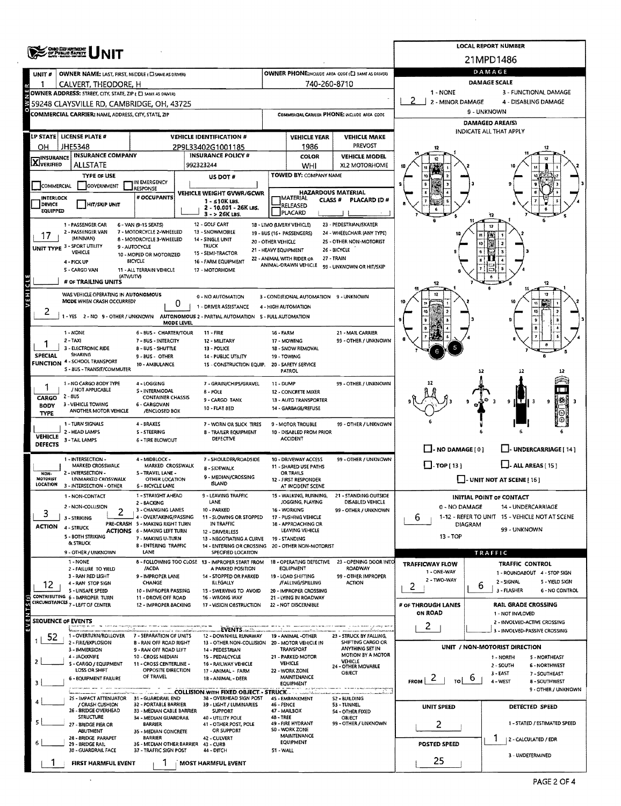| <b>CHIO DEPARTMENT</b>           |                                                                                                         |                                                               |                                                                                          |                    |                                                   |                                                         | <b>LOCAL REPORT NUMBER</b>   |                                                                      |  |  |  |  |  |
|----------------------------------|---------------------------------------------------------------------------------------------------------|---------------------------------------------------------------|------------------------------------------------------------------------------------------|--------------------|---------------------------------------------------|---------------------------------------------------------|------------------------------|----------------------------------------------------------------------|--|--|--|--|--|
|                                  |                                                                                                         |                                                               |                                                                                          |                    |                                                   |                                                         |                              | 21MPD1486                                                            |  |  |  |  |  |
| UNIT#                            | OWNER NAME: LAST, FIRST, MIDDLE (C) SAME AS DRIVERY                                                     |                                                               |                                                                                          |                    |                                                   | OWNER PHONE; INCLUDE AREA CODE (E) SAME AS DRIVERY      |                              | DAMAGE                                                               |  |  |  |  |  |
| 1                                | CALVERT, THEODORE, H                                                                                    |                                                               |                                                                                          |                    | 740-260-8710                                      |                                                         |                              | <b>DAMAGE SCALE</b>                                                  |  |  |  |  |  |
|                                  | OWNER ADDRESS: STREET, CITY, STATE, ZIP ( C) SAME AS DRIVER:                                            |                                                               |                                                                                          |                    |                                                   |                                                         | 1 - NONE<br>2 - MINOR DAMAGE | 3 - FUNCTIONAL DAMAGE<br>4 - DISABLING DAMAGE                        |  |  |  |  |  |
|                                  | 59248 CLAYSVILLE RD, CAMBRIDGE, OH, 43725<br><b>COMMERCIAL CARRIER: NAME, ADDRESS, CITY, STATE, ZIP</b> |                                                               |                                                                                          |                    |                                                   | COMMERCIAL CARRIER PHONE: INCLUDE AREA CODE             |                              | 9 - UNKNOWN                                                          |  |  |  |  |  |
|                                  |                                                                                                         |                                                               |                                                                                          |                    |                                                   |                                                         |                              | DAMAGED AREA(S)                                                      |  |  |  |  |  |
|                                  | LP STATE   LICENSE PLATE #                                                                              |                                                               | <b>VEHICLE IDENTIFICATION #</b>                                                          |                    | <b>VEHICLE YEAR</b>                               | <b>VEHICLE MAKE</b>                                     |                              | INDICATE ALL THAT APPLY                                              |  |  |  |  |  |
| он                               | JHE5348                                                                                                 |                                                               | 2P9L33402G1001185                                                                        |                    | 1986                                              | <b>PREVOST</b>                                          |                              |                                                                      |  |  |  |  |  |
| <b>X</b> INSURANCE               | <b>INSURANCE COMPANY</b>                                                                                |                                                               | <b>INSURANCE POLICY #</b>                                                                |                    | COLOR                                             | <b>VEHICLE MODEL</b>                                    |                              |                                                                      |  |  |  |  |  |
|                                  | <b>ALLSTATE</b>                                                                                         |                                                               | 992323244                                                                                |                    | WHI                                               | XL2 MOTORHOME                                           |                              |                                                                      |  |  |  |  |  |
|                                  | <b>TYPE OF USE</b>                                                                                      | IN EMERGENCY                                                  | US DOT #                                                                                 |                    | TOWED BY: COMPANY NAME                            |                                                         |                              |                                                                      |  |  |  |  |  |
| <b>COMMERCIAL</b>                | GOVERNMENT                                                                                              | <b>RESPONSE</b>                                               | VEHICLE WEIGHT GVWR/GCWR                                                                 |                    | <b>HAZARDOUS MATERIAL</b>                         |                                                         |                              |                                                                      |  |  |  |  |  |
| INTERLOCK<br>DEVICE              | <b>HIT/SKIP UNIT</b>                                                                                    | # OCCUPANTS                                                   | $1 - 510K$ LBS.<br>2 - 10.001 - 26K LBS.                                                 |                    | IMATERIAL<br><b>CLASS#</b><br>RELEASED            | <b>PLACARD ID#</b>                                      |                              |                                                                      |  |  |  |  |  |
| EQUIPPED                         |                                                                                                         |                                                               | 3 - > 26K LBS.                                                                           |                    | <b>PLACARD</b>                                    |                                                         |                              |                                                                      |  |  |  |  |  |
|                                  | 1 - PASSENGER CAR<br>2 - PASSENGER VAN                                                                  | 6 - VAN (9-1S SEATS)<br>7 - MOTORCYCLE 2-WHEELED              | 12 - GOLF CART<br>13 - SNOWMOBILE                                                        |                    | 18 - LIMO (LIVERY VEHICLE)                        | 23 - PEDESTRIAN/SKATER                                  |                              | 12                                                                   |  |  |  |  |  |
| 17                               | (MINIVAN)                                                                                               | 8 - MOTORCYCLE 3 - WHEELED                                    | 14 - SINGLE UNIT                                                                         | 20 - OTHER VEHICLE | 19 - BUS (16+ PASSENGERS)                         | 24 - WHEELCHAIR (ANY TYPE)<br>25 - OTHER NON-MOTORIST   |                              |                                                                      |  |  |  |  |  |
|                                  | UNIT TYPE 3 - SPORT UTILITY<br><b>VEHICLE</b>                                                           | 9 - AUTOCYCLE<br>10 - MOPED OR MOTORIZED                      | <b>TRUCK</b><br>15 - SEMI-TRACTOR                                                        |                    | 21 - HEAVY EQUIPMENT                              | 26 - BICYCLE                                            |                              |                                                                      |  |  |  |  |  |
|                                  | 4 - PICK UP                                                                                             | <b>BICYCLE</b>                                                | 16 - FARM EQUIPMENT                                                                      |                    | 22 - ANIMAL WITH RIDER OR<br>ANIMAL-DRAWN VEHICLE | 27 - TRAIN<br>99 - UNKNOWN OR HIT/SKIP                  |                              |                                                                      |  |  |  |  |  |
|                                  | 5 - CARGO VAN<br>(ATV/UTV)                                                                              | 11 - ALL TERRAIN VEHICLE                                      | 17 - MOTORHOME                                                                           |                    |                                                   |                                                         |                              |                                                                      |  |  |  |  |  |
| $\mathbf{C}$                     | # OF TRAILING UNITS                                                                                     |                                                               |                                                                                          |                    |                                                   |                                                         |                              |                                                                      |  |  |  |  |  |
| VEHI                             | WAS VEHICLE OPERATING IN AUTONOMOUS<br>MODE WHEN CRASH OCCURRED?                                        | 0                                                             | 0 - NO AUTOMATION                                                                        |                    | 3 - CONDITIONAL AUTOMATION 9 - UNKNOWN            |                                                         |                              | 11                                                                   |  |  |  |  |  |
| ۷                                |                                                                                                         |                                                               | 1 - DRIVER ASSISTANCE                                                                    |                    | 4 - HIGH AUTOMATION                               |                                                         |                              | \$0                                                                  |  |  |  |  |  |
|                                  |                                                                                                         | MODE LEVEL                                                    | 1 - YES 2 - NO 9 - OTHER / UNKNOWN AUTONOMOUS 2 - PARTIAL AUTOMATION 5 - FULL AUTOMATION |                    |                                                   |                                                         |                              |                                                                      |  |  |  |  |  |
|                                  | 1 - NONE                                                                                                | 6 - BUS - CHARTER/TOUR                                        | $11 -$ FIRE                                                                              | <b>16 - FARM</b>   |                                                   | 21 - MAIL CARRIER                                       |                              |                                                                      |  |  |  |  |  |
|                                  | $2 - TAX$<br>3 - ELECTRONIC RIDE                                                                        | 7 - BUS - INTERCITY<br>8 - BUS - SHUTTLE                      | 12 - MILITARY<br>13 - POLICE                                                             |                    | 17 - MOWING<br>18 - SNOW REMOVAL                  | 99 - OTHER / UNKNOWN                                    |                              |                                                                      |  |  |  |  |  |
| <b>SPECIAL</b>                   | SHARING<br><b>FUNCTION 4 - SCHOOL TRANSPORT</b>                                                         | 9-BUS-OTHER                                                   | 14 - PUBLIC UTILITY                                                                      |                    | 19 - TOWING                                       |                                                         |                              |                                                                      |  |  |  |  |  |
|                                  | S - BUS - TRANSIT/COMMUTER                                                                              | 10 - AMBULANCE                                                | 15 - CONSTRUCTION EQUIP.                                                                 |                    | 20 - SAFETY SERVICE<br><b>PATROL</b>              |                                                         |                              | 12<br>12                                                             |  |  |  |  |  |
|                                  | 1 - NO CARGO BODY TYPE                                                                                  | 4 - LOGGING                                                   | 7 - GRAIN/CHIPS/GRAVEL                                                                   | 11 - DUMP          |                                                   | 99 - OTHER / UNKNOWN                                    |                              |                                                                      |  |  |  |  |  |
| CARGO                            | / NOT APPLICABLE<br>$2 - 8US$                                                                           | S - INTERMODAL<br><b>CONTAINER CHASSIS</b>                    | 8 - POLE                                                                                 |                    | 12 - CONCRETE MIXER                               |                                                         |                              |                                                                      |  |  |  |  |  |
| <b>BODY</b>                      | 3 - VEHICLE TOWING                                                                                      | 6 - CARGOVAN                                                  | 9 - CARGO TANK<br>10 - FLAT BED                                                          |                    | 13 - AUTO TRANSPORTER<br>14 - GARBAGE/REFUSE      |                                                         |                              | 9                                                                    |  |  |  |  |  |
| <b>TYPE</b>                      | ANOTHER MOTOR VEHICLE                                                                                   | /ENCLOSED BOX                                                 |                                                                                          |                    |                                                   |                                                         |                              |                                                                      |  |  |  |  |  |
|                                  | 1 - TURN SIGNALS<br>2 - HEAD LAMPS                                                                      | 4 - BRAKES<br><b>S-STEERING</b>                               | 7 - WORN OR SLICK TIRES<br>8 - TRAILER EQUIPMENT                                         |                    | 9 - MOTOR TROUBLE<br>10 - DISABLED FROM PRIOR     | 99 - OTHER / UNKNOWN                                    |                              |                                                                      |  |  |  |  |  |
| <b>VEHICLE</b><br><b>DEFECTS</b> | 3 - TAIL LAMPS                                                                                          | 6 - TIRE BLOWOUT                                              | <b>DEFECTIVE</b>                                                                         |                    | <b>ACCIDENT</b>                                   |                                                         |                              |                                                                      |  |  |  |  |  |
|                                  |                                                                                                         |                                                               |                                                                                          |                    |                                                   |                                                         | $\Box$ - NO DAMAGE [ 0 ]     | - UNDERCARRIAGE [ 14 ]                                               |  |  |  |  |  |
|                                  | 1 - INTERSECTION -<br>MARKED CROSSWALK                                                                  | 4 - MIDBLOCK -<br>MARKED CROSSWALK                            | 7 - SHOULDER/ROADSIDE<br>8 - SIDEWALK                                                    |                    | 10 - DRIVEWAY ACCESS<br>11 - SHARED USE PATHS     | 99 - OTHER / UNKNOWN                                    | $\Box$ -TOP[13]              | $\Box$ - ALL AREAS [15]                                              |  |  |  |  |  |
| NON-<br>MOTORIST                 | 2 - INTERSECTION -<br><b>UNMARKED CROSSWALK</b>                                                         | S - TRAVEL LANE -<br><b>OTHER LOCATION</b>                    | 9 - MEDIAN/CROSSING                                                                      |                    | <b>OR TRAILS</b><br>12 - FIRST RESPONDER          |                                                         |                              | $\Box$ - UNIT NOT AT SCENE [16]                                      |  |  |  |  |  |
| LOCATION                         | 3 - INTERSECTION - OTHER                                                                                | <b>6 - BICYCLE LANE</b>                                       | ISLAND                                                                                   |                    | AT INCIDENT SCENE                                 |                                                         |                              |                                                                      |  |  |  |  |  |
|                                  | 1 - NON-CONTACT                                                                                         | 1 - STRAIGHT AHEAD<br>2 - BACKING                             | 9 - LEAVING TRAFFIC<br>LANE                                                              |                    | 15 - WALKING, RUNNING,<br>JOGGING, PLAYING        | 21 - STANDING OUTSIDE<br>DISABLED VEHICLE               |                              | INITIAL POINT OF CONTACT                                             |  |  |  |  |  |
| 3                                | 2 - NON-COLLISION                                                                                       | 3 - CHANGING LANES<br>4 - OVERTAKING/PAS5ING                  | 10 - PARKED<br>11 - SLOWING OR STOPPED                                                   |                    | 16 WORKING                                        | 99 - OTHER / UNKNOWN                                    | 0 - NO DAMAGE                | 14 - UNDERCARRIAGE<br>1-12 - REFER TO UNIT 15 - VEHICLE NOT AT SCENE |  |  |  |  |  |
| ACTION                           | 3 - STRIKING<br>4 - STRUCK                                                                              | PRE-CRASH 5 - MAKING RIGHT TURN                               | IN TRAFFIC                                                                               |                    | 17 - PUSHING VEHICLE<br>18 - APPROACHING OR       |                                                         | 6                            | <b>DIAGRAM</b>                                                       |  |  |  |  |  |
|                                  | 5 - BOTH STRIKING                                                                                       | <b>ACTIONS 6 - MAKING LEFT TURN</b><br>7 - MAKING U-TURN      | 12 - DRIVERLESS<br>13 - NEGOTIATING A CURVE                                              |                    | LEAVING VEHICLE<br>19 - STANDING                  |                                                         | 99 - UNKNOWN<br>$13 - TOP$   |                                                                      |  |  |  |  |  |
|                                  | & STRUCK<br>9 - OTHER / UNKNOWN                                                                         | 8 - ENTERING TRAFFIC<br>LANE                                  | 14 - ENTERING OR CROSSING<br>SPECIFIED LOCATION                                          |                    | 20 - OTHER NON-MOTORIST                           |                                                         |                              |                                                                      |  |  |  |  |  |
|                                  | 1 - NONE                                                                                                |                                                               | 8 - FOLLOWING TOO CLOSE 13 - IMPROPER START FROM                                         |                    | 18 - OPERATING DEFECTIVE                          | 23 - OPENING DOOR INTO                                  | TRAFFICWAY FLOW              | TRAFFIC<br>TRAFFIC CONTROL                                           |  |  |  |  |  |
|                                  | 2 - FAILURE TO YIELD<br>3 - RAN RED LIGHT                                                               | /ACDA<br>9 - IMPROPER LANE                                    | A PARKED POSITION<br>14 - STOPPED OR PARKED                                              |                    | <b>EQUIPMENT</b><br>19 - LOAD SHIFTING            | ROADWAY<br>99 - OTHER IMPROPER                          | 1 - ONE-WAY                  | 1 - ROUNDABOUT 4 - STOP SIGN                                         |  |  |  |  |  |
| 12                               | 4 - RAN STOP 5IGN                                                                                       | CHANGE                                                        | <b>ILLEGALLY</b>                                                                         |                    | /FALLING/SPILLING                                 | <b>ACTION</b>                                           | 2 - TWO-WAY<br>2             | 2 - SIGNAL<br>5 - YIELD SIGN<br>6                                    |  |  |  |  |  |
|                                  | 5 - UNSAFE SPEED<br>CONTRIBUTING 6 - IMPROPER TURN                                                      | 10 - IMPROPER PASSING<br>11 - DROVE OFF ROAD                  | 15 - SWERVING TO AVOID<br>16 - WRONG WAY                                                 |                    | 20 - IMPROPER CROSSING<br>21 - LYING IN ROADWAY   |                                                         |                              | 3 - FLASHER<br><b>6 - NO CONTROL</b>                                 |  |  |  |  |  |
| G) S<br>$\frac{1}{2}$            | CIRCUMSTANCES 7 - LEFT OF CENTER                                                                        | 12 - IMPROPER BACKING                                         | 17 - VISION OBSTRUCTION                                                                  |                    | 22 - NOT DISCERNIBLE                              |                                                         | # OF THROUGH LANES           | <b>RAIL GRADE CROSSING</b>                                           |  |  |  |  |  |
| ш                                | <b>SEQUENCE OF EVENTS</b>                                                                               |                                                               |                                                                                          |                    |                                                   |                                                         | ON ROAD                      | 1 - NOT INVLOVED<br>2 - INVOLVED-ACTIVE CROSSING                     |  |  |  |  |  |
|                                  | 1 - OVERTURN/ROLLOVER                                                                                   | 7 - SEPARATION OF UNITS                                       | EVENTS.<br>12 DOWNHILL RUNAWAY                                                           |                    | 19 - ANIMAL - OTHER                               | a siyan maso a jelasanji wak<br>23 - STRUCK BY FALLING, | 2                            | 3 - INVOLVED-PASSIVE CROSSING                                        |  |  |  |  |  |
| 52                               | 2 - FIRE/EXPLOSION                                                                                      | 8 - RAN OFF ROAD RIGHT                                        | 13 - OTHER NON-COLLISION 20 - MOTOR VEHICLE IN                                           |                    |                                                   | SHIFTING CARGO OR<br>ANYTHING SET IN                    |                              | UNIT / NON-MOTORIST DIRECTION                                        |  |  |  |  |  |
|                                  | 3 - IMMERSION<br>4 - JACKKNIFE                                                                          | 9 - RAN OFF ROAD LEFT<br>10 - CROSS MEDIAN                    | 14 - PEDESTRIAN<br>15 - PEDALCYCLE                                                       |                    | <b>TRANSPORT</b><br>21 - PARKED MOTOR             | MOTION BY A MOTOR                                       |                              | 1 - NORTH<br>5 - NORTHEAST                                           |  |  |  |  |  |
|                                  | S - CARGO / EQUIPMENT<br>LOSS OR SHIFT                                                                  | 11 - CROSS CENTERLINE -<br>OPPOSITE DIRECTION                 | 16 - RAILWAY VEHICLE<br>17 - ANIMAL - FARM                                               |                    | VEHICLE<br>22 - WORK ZONE                         | VEHICLE<br>24 - OTHER MOVABLE                           |                              | 2 - SOUTH<br><b>6 - NORTHWEST</b>                                    |  |  |  |  |  |
|                                  | <b>6 - EQUIPMENT FAILURE</b>                                                                            | OF TRAVEL                                                     | 18 - ANIMAL - DEER                                                                       |                    | MAINTENANCE<br><b>EQUIPMENT</b>                   | OBJECT                                                  | FROM $\frac{2}{5}$   To   0  | $3 - EAST$<br>7 - SOUTHEAST<br>4 - WEST<br>8 - SOUTHWEST             |  |  |  |  |  |
|                                  |                                                                                                         |                                                               | <b>COLLISION WITH FIXED OBJECT - STRUCK.</b>                                             |                    |                                                   |                                                         |                              | 9 - OTHER / UNKNOWN                                                  |  |  |  |  |  |
|                                  | 25 - IMPACT ATTENUATOR 31 - GUARDRAIL END<br>/ CRASH CUSHION                                            | 32 - PORTABLE BARRIER                                         | 38 - OVERHEAD SIGN POST<br>39 - LIGHT / LUMINARIES                                       | 46 - FENCE         | 45 - EMBANKMENT                                   | S2 - BUILDING<br>53 - TUNNEL                            | UNIT SPEED                   | DETECTED SPEED                                                       |  |  |  |  |  |
|                                  | 26 - BRIDGE OVERHEAD<br><b>STRUCTURE</b>                                                                | 33 - MEDIAN CABLE BARRIER<br>34 - MEDIAN GUARDRAIL            | <b>SUPPORT</b><br>40 - UTILITY POLE                                                      | 48 - TREE          | 47 - MAILBOX                                      | 54 - OTHER FIXED<br><b>OBJECT</b>                       |                              |                                                                      |  |  |  |  |  |
|                                  | 27 - BRIDGE PIER OR                                                                                     | <b>BARRIER</b>                                                | 41 - OTHER POST, POLE<br>OR SUPPORT                                                      |                    | 49 - FIRE HYDRANT<br>S0 - WORK ZONE               | 99 - OTHER / UNKNOWN                                    | 2                            | 1 - STATED / ESTIMATED SPEED                                         |  |  |  |  |  |
|                                  | ABUTMENT<br>28 - BRIDGE PARAPET                                                                         | 35 - MEDIAN CONCRETE<br><b>BARRIER</b>                        | 42 - CULVERT                                                                             |                    | MAINTENANCE<br><b>EQUIPMENT</b>                   |                                                         |                              | 2 - CALCULATED / EDR                                                 |  |  |  |  |  |
|                                  | 29 - BRIDGE RAIL<br>30 - GUARDRAIL FACE                                                                 | 36 - MEDIAN OTHER BARRIER 43 - CURB<br>37 - TRAFFIC SIGN POST | 44 - DITCH                                                                               | 51 - WALL          |                                                   |                                                         | POSTED SPEED                 |                                                                      |  |  |  |  |  |
|                                  | <b>FIRST HARMFUL EVENT</b>                                                                              |                                                               | <b>MOST HARMFUL EVENT</b>                                                                |                    |                                                   |                                                         | 25                           | 3 - UNDETERMINED                                                     |  |  |  |  |  |
|                                  |                                                                                                         |                                                               |                                                                                          |                    |                                                   |                                                         |                              |                                                                      |  |  |  |  |  |

 $\epsilon$ 

 $\bar{z}$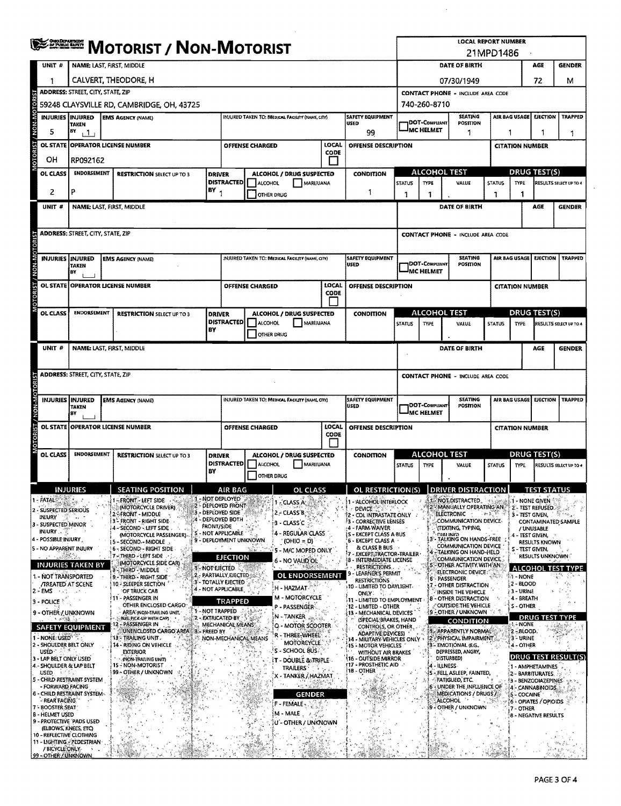|                               |                 |                                                                                                                                   |                      | <b>ERRICH MOTORIST / NON-MOTORIST</b>                       |                   |                                                 |                   |                        |                                                 |                                                    |                                                           |                                                                   |                                                             | <b>LOCAL REPORT NUMBER</b>                                    | 21MPD1486     |                                  |                                                        |                                                      |                        |
|-------------------------------|-----------------|-----------------------------------------------------------------------------------------------------------------------------------|----------------------|-------------------------------------------------------------|-------------------|-------------------------------------------------|-------------------|------------------------|-------------------------------------------------|----------------------------------------------------|-----------------------------------------------------------|-------------------------------------------------------------------|-------------------------------------------------------------|---------------------------------------------------------------|---------------|----------------------------------|--------------------------------------------------------|------------------------------------------------------|------------------------|
|                               | UNIT #          |                                                                                                                                   |                      | NAME: LAST, FIRST, MIDDLE                                   |                   |                                                 |                   |                        |                                                 |                                                    |                                                           |                                                                   | DATE OF BIRTH                                               |                                                               |               |                                  |                                                        |                                                      | <b>GENDER</b>          |
|                               |                 |                                                                                                                                   | CALVERT, THEODORE, H |                                                             |                   |                                                 |                   |                        |                                                 |                                                    |                                                           |                                                                   |                                                             |                                                               |               |                                  |                                                        |                                                      |                        |
|                               |                 | ADDRESS: STREET, CITY, STATE, ZIP                                                                                                 |                      |                                                             |                   |                                                 |                   |                        |                                                 |                                                    |                                                           | 07/30/1949<br>72<br>м<br><b>CONTACT PHONE - INCLUDE AREA CODE</b> |                                                             |                                                               |               |                                  |                                                        |                                                      |                        |
|                               |                 |                                                                                                                                   |                      | 59248 CLAYSVILLE RD, CAMBRIDGE, OH, 43725                   |                   |                                                 |                   |                        |                                                 |                                                    |                                                           |                                                                   |                                                             |                                                               |               |                                  |                                                        |                                                      |                        |
|                               |                 | <b>SAFETY EQUIPMENT</b><br><b>INJURIES INJURED</b><br>INJURED TAKEN TO: MEDICAL FACILITY (NAME, CITY)<br><b>EMS AGENCY (NAME)</b> |                      |                                                             |                   |                                                 |                   |                        |                                                 |                                                    |                                                           |                                                                   | 740-260-8710<br><b>SEATING</b><br>EJECTION<br>AIR BAG USAGE |                                                               |               |                                  |                                                        |                                                      | <b>TRAPPED</b>         |
| / NON-MOTORIST<br>5           |                 | TAKEN<br>BY<br>$+1$                                                                                                               |                      |                                                             |                   |                                                 | <b>USED</b><br>99 |                        |                                                 | DOT-COMPLIANT<br><b>POSITION</b><br>MC HELMET<br>1 |                                                           |                                                                   |                                                             | 1<br>1                                                        |               |                                  |                                                        |                                                      |                        |
|                               | <b>OL STATE</b> |                                                                                                                                   |                      | OPERATOR LICENSE NUMBER                                     |                   |                                                 |                   | <b>OFFENSE CHARGED</b> |                                                 | LOCAL                                              | <b>OFFENSE DESCRIPTION</b>                                |                                                                   |                                                             |                                                               |               |                                  | <b>CITATION NUMBER</b>                                 |                                                      |                        |
| VIOTORIST<br>OН               |                 | RP092162                                                                                                                          |                      |                                                             |                   |                                                 |                   |                        |                                                 | CODE                                               |                                                           |                                                                   |                                                             |                                                               |               |                                  |                                                        |                                                      |                        |
|                               | OL CLASS        | <b>ENDORSEMENT</b>                                                                                                                |                      | <b>RESTRICTION SELECT UP TO 3</b>                           | <b>DRIVER</b>     |                                                 |                   |                        | ALCOHOL / DRUG SUSPECTED                        |                                                    | <b>CONDITION</b>                                          |                                                                   | ALCOHOL TEST                                                |                                                               |               |                                  |                                                        | <b>DRUG TEST(S)</b>                                  |                        |
|                               |                 |                                                                                                                                   |                      |                                                             |                   | <b>DISTRACTED</b>                               |                   | ALCOHOL                | MARI/UANA                                       |                                                    |                                                           | <b>STATUS</b>                                                     | TYPE                                                        | VALUE                                                         |               |                                  | <b>STATUS</b><br><b>TYPE</b><br>RESULTS SELECT UP TO 4 |                                                      |                        |
|                               | 2               | р                                                                                                                                 |                      |                                                             | BY <sub>1</sub>   |                                                 |                   | OTHER DRUG             |                                                 |                                                    | 1                                                         | 1                                                                 | 1                                                           |                                                               | 1             |                                  | 1                                                      |                                                      |                        |
|                               | UNIT #          |                                                                                                                                   |                      | NAME: LAST, FIRST, MIDDLE                                   |                   |                                                 |                   |                        |                                                 |                                                    |                                                           |                                                                   |                                                             | DATE OF BIRTH                                                 |               |                                  |                                                        | AGE                                                  | <b>GENDER</b>          |
|                               |                 |                                                                                                                                   |                      |                                                             |                   |                                                 |                   |                        |                                                 |                                                    |                                                           |                                                                   |                                                             |                                                               |               |                                  |                                                        |                                                      |                        |
|                               |                 | <b>ADDRESS: STREET, CITY, STATE, ZIP</b>                                                                                          |                      |                                                             |                   |                                                 |                   |                        |                                                 |                                                    |                                                           |                                                                   |                                                             | <b>CONTACT PHONE - INCLUDE AREA CODE</b>                      |               |                                  |                                                        |                                                      |                        |
|                               |                 |                                                                                                                                   |                      |                                                             |                   |                                                 |                   |                        |                                                 |                                                    |                                                           |                                                                   |                                                             |                                                               |               |                                  |                                                        |                                                      |                        |
|                               |                 | <b>INJURIES INJURED</b>                                                                                                           |                      |                                                             |                   |                                                 |                   |                        |                                                 |                                                    | <b>SAFETY EQUIPMENT</b>                                   |                                                                   |                                                             | <b>SEATING</b>                                                |               | AIR BAG USAGE<br><b>EJECTION</b> |                                                        |                                                      | <b>TRAPPED</b>         |
|                               |                 | <b>TAKEN</b>                                                                                                                      |                      | <b>EMS AGENCY (NAME)</b>                                    |                   |                                                 |                   |                        | INJURED TAKEN TO: MEDICAL FACILITY (NAME, CITY) |                                                    | <b>USED</b>                                               |                                                                   | DOT-COMPLIANT                                               | <b>POSITION</b>                                               |               |                                  |                                                        |                                                      |                        |
|                               |                 | <b>BY</b>                                                                                                                         |                      |                                                             |                   |                                                 |                   |                        |                                                 |                                                    |                                                           |                                                                   | <b>MC HELMET</b>                                            |                                                               |               |                                  |                                                        |                                                      |                        |
| ţ.                            | OL STATE        |                                                                                                                                   |                      | <b>OPERATOR LICENSE NUMBER</b>                              |                   |                                                 |                   | <b>OFFENSE CHARGED</b> |                                                 | LOCAL<br><b>CODE</b>                               | OFFENSE DESCRIPTION                                       |                                                                   |                                                             |                                                               |               |                                  | <b>CITATION NUMBER</b>                                 |                                                      |                        |
| TOR <sub>1</sub>              |                 |                                                                                                                                   |                      |                                                             |                   |                                                 |                   |                        |                                                 |                                                    |                                                           |                                                                   |                                                             |                                                               |               |                                  |                                                        |                                                      |                        |
|                               | OL CLASS        | <b>ENDORSEMENT</b>                                                                                                                |                      | <b>RESTRICTION SELECT UP TO 3</b>                           | <b>DRIVER</b>     |                                                 |                   |                        | ALCOHOL / DRUG SUSPECTED                        |                                                    | <b>CONDITION</b>                                          |                                                                   | <b>ALCOHOL TEST</b>                                         |                                                               |               |                                  |                                                        | <b>DRUG TEST(S)</b>                                  |                        |
|                               |                 |                                                                                                                                   |                      |                                                             |                   | <b>DISTRACTED</b>                               |                   | <b>ALCOHOL</b>         | MARIJUANA                                       |                                                    |                                                           | <b>STATUS</b>                                                     | <b>TYPE</b>                                                 | VALUE                                                         | <b>STATUS</b> |                                  | TYPE                                                   |                                                      | RESULTS SELECT UP TO 4 |
|                               |                 |                                                                                                                                   |                      |                                                             | BY                |                                                 |                   | OTHER DRUG             |                                                 |                                                    |                                                           |                                                                   |                                                             |                                                               |               |                                  |                                                        |                                                      |                        |
|                               | UNIT#           |                                                                                                                                   |                      | NAME: LAST, FIRST, MIDDLE                                   |                   |                                                 |                   |                        |                                                 |                                                    |                                                           |                                                                   |                                                             | <b>DATE OF BIRTH</b>                                          |               |                                  |                                                        | AGE                                                  | <b>GENDER</b>          |
|                               |                 |                                                                                                                                   |                      |                                                             |                   |                                                 |                   |                        |                                                 |                                                    |                                                           |                                                                   |                                                             |                                                               |               |                                  |                                                        |                                                      |                        |
|                               |                 | <b>ADDRESS: STREET, CITY, STATE, ZIP</b>                                                                                          |                      |                                                             |                   |                                                 |                   |                        |                                                 |                                                    |                                                           |                                                                   |                                                             |                                                               |               |                                  |                                                        |                                                      |                        |
|                               |                 |                                                                                                                                   |                      |                                                             |                   |                                                 |                   |                        |                                                 |                                                    |                                                           |                                                                   |                                                             | <b>CONTACT PHONE - INCLUDE AREA CODE</b>                      |               |                                  |                                                        |                                                      |                        |
|                               |                 |                                                                                                                                   |                      |                                                             |                   |                                                 |                   |                        |                                                 |                                                    |                                                           |                                                                   |                                                             |                                                               |               |                                  |                                                        |                                                      |                        |
|                               |                 | <b>INJURIES INJURED</b><br>TAKEN                                                                                                  |                      | <b>EMS AGENCY (NAME)</b>                                    |                   |                                                 |                   |                        | INJURED TAKEN TO: MEDICAL FACILITY (NAME CITY)  |                                                    | <b>SAFETY EQUIPMENT</b><br>USED                           |                                                                   | DOT-COMPLIANT                                               | <b>SEATING</b><br><b>POSITION</b>                             |               |                                  | AIR BAG USAGE                                          | EJECTION                                             | <b>TRAPPED</b>         |
|                               |                 | BY                                                                                                                                |                      |                                                             |                   |                                                 |                   |                        |                                                 |                                                    |                                                           |                                                                   | MC HELMET                                                   |                                                               |               |                                  |                                                        |                                                      |                        |
|                               |                 |                                                                                                                                   |                      | OL STATE OPERATOR LICENSE NUMBER                            |                   |                                                 |                   | <b>OFFENSE CHARGED</b> |                                                 | LOCAL                                              | OFFENSE DESCRIPTION                                       |                                                                   |                                                             |                                                               |               |                                  | <b>CITATION NUMBER</b>                                 |                                                      |                        |
|                               |                 |                                                                                                                                   |                      |                                                             |                   |                                                 |                   |                        |                                                 | CODE                                               |                                                           |                                                                   |                                                             |                                                               |               |                                  |                                                        |                                                      |                        |
|                               | <b>OL CLASS</b> | <b>ENDORSEMENT</b>                                                                                                                |                      | <b>RESTRICTION SELECT UP TO 3</b>                           | <b>DRIVER</b>     |                                                 |                   |                        | ALCOHOL / DRUG SUSPECTED                        |                                                    | <b>CONDITION</b>                                          |                                                                   | <b>ALCOHOL TEST</b>                                         |                                                               |               |                                  |                                                        | <b>DRUG TEST(S)</b>                                  |                        |
|                               |                 |                                                                                                                                   |                      |                                                             |                   | <b>DISTRACTED</b><br>ALCOHOL                    |                   |                        | MARIJUANA                                       |                                                    |                                                           | <b>STATUS</b><br><b>TYPE</b>                                      |                                                             | VALUE                                                         |               | <b>STATUS</b><br>TYPE            |                                                        |                                                      | RESULTS SELECT UP TO 4 |
|                               |                 |                                                                                                                                   |                      |                                                             | BY                |                                                 |                   | <b>OTHER DRUG</b>      |                                                 |                                                    |                                                           |                                                                   |                                                             |                                                               |               |                                  |                                                        |                                                      |                        |
|                               |                 | <b>INJURIES</b>                                                                                                                   |                      | <b>SEATING POSITION</b>                                     |                   | <b>AIR BAG</b>                                  |                   |                        | OL CLASS                                        |                                                    | OL RESTRICTION(S)                                         |                                                                   |                                                             | DRIVER DISTRACTION                                            |               |                                  |                                                        | <b>TEST STATUS</b>                                   |                        |
| - FATALS:                     |                 | nser i                                                                                                                            |                      | -FRONT - LEFT SIDE                                          |                   | - NOT DEPLOYED                                  |                   |                        | 1. CLASS A                                      |                                                    | I - ALCOHOL INTERLOCK                                     |                                                                   |                                                             | NOT DISTRACTED                                                |               |                                  | 1 - NONE GIVEN                                         |                                                      |                        |
|                               |                 | 2 - SUSPECTED SERIOUS                                                                                                             |                      | (MOTORCYCLE DRIVER)<br>2-° FRONT - MIDDLE                   |                   | 2 - DEPLOYED FRONT<br>3 - DEPLOVED SIDE         |                   |                        | $2 + C LASS B$                                  |                                                    | ※ DEVICE (警察・) () P. F.<br>2 - CDL INTRASTATE ONLY        |                                                                   |                                                             | MANUALLY OPERATING AND<br><b>ELECTRONIC</b> And A PARTIES     |               |                                  |                                                        | $2 - TEST REFUSED \gg 2$<br>3 - TEST GIVEN, Salimary |                        |
| INJURY<br>3 - SUSPECTED MINOR |                 | $\rightarrow$ 4                                                                                                                   |                      | 3 <sup>2</sup> FRONT - RIGHT SIDE                           | <b>FRONT/SIDE</b> | 4 - DEPLOYED BOTH                               |                   |                        | 3 - CLASS C                                     |                                                    | <b>3 - CORRECTIVE LENSES</b>                              |                                                                   |                                                             | COMMUNICATION DEVICE-                                         |               |                                  |                                                        |                                                      | CONTAMINATED SAMPLE    |
| 4 - POSSIBLE INJURY           | <b>INJURY</b>   |                                                                                                                                   |                      | 4 - SECOND - LEFT SIDE<br>(MOTORCYCLE PASSENGER)            |                   | S - NOT APPLICABLE                              |                   |                        | 4 - REGULAR CLASS                               |                                                    | :4 - FARM WAIVER<br><b>is - EXCEPT CLASS A BUS</b>        |                                                                   | з                                                           | (TEXTING, TYPING,<br><b>DIAI ING</b><br>TALKING ON HANDS-FREE |               |                                  | 4 - TEST GIVEN,                                        | / UNUSABLE                                           |                        |
|                               |                 | <b>5 - NO APPARENT INJURY</b>                                                                                                     |                      | 5 - SECOND - MIDDLE<br>6 - SECOND - RIGHT SIDE              |                   | 9 - DEPLOYMENT UNKNOWN<br>. r. . g              |                   |                        | $(OH O = D)$<br>5 - M/C MOPED ONLY              |                                                    | 6 - EXCEPT CLASS A<br>& CLASS B BUS                       |                                                                   |                                                             | COMMUNICATION DEVICE                                          |               |                                  | S - TEST GIVEN,                                        | RESULTS KNOWN                                        |                        |
|                               | 88              |                                                                                                                                   |                      | 7 - THIRD - LEFT SIDE                                       |                   | <b>EJECTION</b>                                 |                   |                        | 6 - NO VALID OL                                 |                                                    | EXCEPT TRACTOR-TRAILER<br>8 - INTERMEDIATE LICENSE        |                                                                   | $\ddot{\phantom{a}}$                                        | , TALKING ON HAND-HELD<br><b>COMMUNICATION DEVICE</b>         |               |                                  |                                                        | <b>RESULTS UNKNOWN</b>                               |                        |
|                               |                 | <b>INJURIES TAKEN BY</b>                                                                                                          |                      | (MOTORCYCLE SIDE CAR)<br>- THIRD - MIDDLE                   | 1 - NOT EJECTED   |                                                 |                   |                        |                                                 |                                                    | <b>RESTRICTIONS</b><br>LEARNER'S PERMIT                   |                                                                   |                                                             | 5-OTHER ACTIVITY WITH AN<br>ELECTRONIC DEVICE:                |               |                                  |                                                        |                                                      | ALCOHOL TEST TYPE      |
|                               |                 | 1 - NOT TRANSPORTED<br><b>/TREATED AT SCENE</b>                                                                                   |                      | 9 - THIRD - RIGHT SIDE<br>10 - SLEEPER SECTION              |                   | 2. PARTIALLY EJECTED<br>3'- TOTALLY EJECTED     |                   |                        | <b>OL ENDORSEMENT</b>                           |                                                    | <b>RESTRICTIONS</b>                                       |                                                                   |                                                             | 6 - PASSENGER<br>7 - OTHER DISTRACTION                        |               |                                  | ‡ा - NONE<br>2 - BLOOD                                 |                                                      | Υ,                     |
| $2 - EMS$                     | ಿ ನೋ            | in 1970 in                                                                                                                        |                      | OF TRUCK CAB                                                |                   | 4 - NOT APPLICABLE                              |                   |                        | H - HAZMAT                                      |                                                    | 10 - LIMITED TO DAYLIGHT-<br><b>ONLY</b> :                |                                                                   |                                                             | INSIDE THE VEHICLE                                            |               |                                  | 3 - URINE                                              |                                                      |                        |
| 3 - POLICE                    |                 |                                                                                                                                   |                      | 11 - PASSENGER IN<br>OTHER ENCLOSED CARGO                   |                   | TRAPPED                                         |                   |                        | <b>M - MOTORCYCLE</b><br>P - PASSENGER          |                                                    | 11 - LIMITED TO EMPLOYMENT<br>:12 - LIMITED - OTHER       |                                                                   |                                                             | 8 - OTHER DISTRACTION<br><i><b>COUTSIDE THE VEHICLE</b></i>   |               |                                  | 4 - BREATH<br><b>S-OTHER</b>                           |                                                      |                        |
|                               | 计调编 经           | 9 - OTHER / UNKNOWN                                                                                                               |                      | AREA' (NON-TRAILING UNIT,<br>BUS, PICK-UP WITH CAPI         |                   | 1-NOT TRAPPED<br><b>2 - EXTRICATED BY A REA</b> |                   |                        | N - TANKER                                      |                                                    | 13 - MECHANICAL DEVICES<br>(SPECIAL BRAKES, HAND          |                                                                   |                                                             | 9 - OTHER / UNKNOWN                                           |               |                                  | DRUG                                                   |                                                      | TEST TYPE              |
|                               |                 | <b>SAFETY EQUIPMENT</b>                                                                                                           |                      | - PASSENGER IN<br>12.<br>UNENCLOSED CARGO AREA 3 - FREED BY |                   | MECHANICAL MEANS                                |                   |                        | Q - MOTOR SCOOTER                               |                                                    | CONTROLS, OR OTHER.                                       |                                                                   |                                                             | <b>CONDITION</b><br>1-APPARENTLY NORMAL <sup>®</sup>          |               |                                  | 1 - NONE<br>2-BLOOD                                    |                                                      | 親密部隊                   |
| 1 - NONE USED <sup>*</sup>    |                 |                                                                                                                                   |                      | '13 = TRAILING UNIT .                                       |                   | NON-MECHANICAL MEANS                            |                   |                        | r - Three-wheel<br><b>MOTORCYCLE</b>            |                                                    | <b>ADAPTIVE DEVICES)</b><br>14 - MILITARY-VEHICLES ONLY + |                                                                   |                                                             | 2 PHYSICAL IMPAIRMENT                                         |               |                                  | 3 - URINE                                              |                                                      | 33. J                  |
|                               | USED > 25%      | 2 - SHOULDER BELT ONLY                                                                                                            |                      | 14 - RIDING ON VEHICLE<br><b>EXTERIOR</b>                   |                   |                                                 |                   |                        | S - SCHOOL BUS                                  |                                                    | <b>15 - MOTOR VEHICLES</b><br>WITHOUT AIR BRAKES          |                                                                   |                                                             | 3 - EMOTIONAL (EG.,<br>DEPRESSED, ANGRY,                      |               |                                  | 4 - OTHER                                              |                                                      |                        |
|                               |                 | 3 - LAP BELT ONLY USED<br>4 - SHOULDER & LAP BELT                                                                                 |                      | <b>INON-TRAILING UNITY</b><br>15 - NON-MOTORIST             |                   |                                                 |                   |                        | IT - DOUBLE & TRIPLE-                           |                                                    | <b>16 - OUTSIDE MIRROR</b><br><b>17 - PROSTHETIC AID</b>  |                                                                   | 4 - ILLNESS                                                 | DISTURBED)                                                    |               |                                  |                                                        |                                                      | DRUG TEST RESULT(S)    |
| <b>USED</b>                   |                 |                                                                                                                                   |                      | 99 - OTHER / UNKNOWN                                        |                   |                                                 |                   |                        | <b>TRAILERS</b><br>X - TANKER / HAZMAT          |                                                    | 18 - OTHER                                                |                                                                   |                                                             | - FELL ASLEEP, FAINTED.                                       |               |                                  |                                                        | 1 - AMPHETAMINES<br>2 - BARBITURATES,                |                        |
|                               |                 | 5 - CHILD RESTRAINT SYSTEM<br>- FORWARD FACING                                                                                    |                      |                                                             |                   |                                                 |                   |                        | ందించిం                                         |                                                    |                                                           |                                                                   |                                                             | <b>FATIGUED, ETC.</b><br>6 - UNDER THE INFLUENCE OF           |               |                                  |                                                        | 3 - BENZODIAZEPINES<br>4 - CANNABINOIDS.             |                        |
|                               | - REAR FACING.  | <b>6 - CHILD RESTRAINT SYSTEM-</b>                                                                                                |                      |                                                             |                   |                                                 |                   |                        | <b>GENDER</b>                                   |                                                    |                                                           |                                                                   |                                                             | MEDICATIONS / DRUGS /<br>ALCOHOL                              |               |                                  |                                                        | ES - COCAINE ' PARTIE                                |                        |
| 7 - BOOSTER SEAT              |                 |                                                                                                                                   |                      |                                                             |                   |                                                 |                   |                        | F - FEMALE                                      |                                                    |                                                           |                                                                   |                                                             | 9 - OTHER / UNKNOWN                                           |               |                                  | 7 - OTHER                                              | 6 - OPIATES / OPIOIDS                                |                        |
| <b>B - HELMET USED</b>        |                 | 9 - PROTECTIVE PADS USED                                                                                                          |                      |                                                             |                   |                                                 |                   |                        | M - MALE<br>U - OTHER / UNKNOWN                 |                                                    |                                                           |                                                                   |                                                             |                                                               |               |                                  |                                                        | 8 - NEGATIVE RESULTS                                 |                        |
|                               |                 | (ELBOWS, KNEES, ETC)<br>10 - REFLECTIVE CLOTHING                                                                                  |                      |                                                             |                   |                                                 |                   |                        |                                                 |                                                    |                                                           |                                                                   |                                                             |                                                               |               |                                  |                                                        |                                                      |                        |
|                               |                 | 11 - LIGHTING - PEDESTRIAN -                                                                                                      |                      |                                                             |                   |                                                 |                   |                        |                                                 |                                                    |                                                           |                                                                   |                                                             |                                                               |               |                                  |                                                        |                                                      |                        |
|                               | / BICYCLE ONLY- | 99 - OTHER / UNKNOWN                                                                                                              |                      |                                                             |                   |                                                 |                   |                        |                                                 |                                                    |                                                           |                                                                   |                                                             |                                                               |               |                                  |                                                        |                                                      | الروائد آثا<br>94 MB J |

 $\mathcal{A}$ 

 $\bar{\mathcal{A}}$